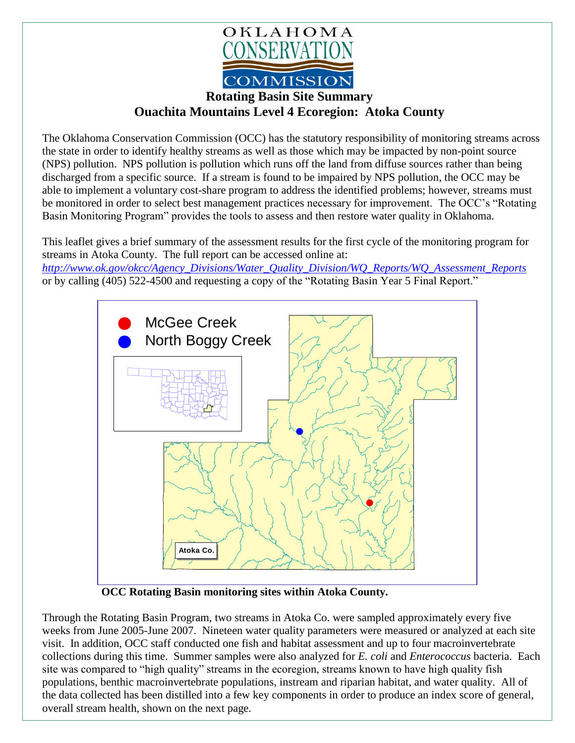

## **Rotating Basin Site Summary Ouachita Mountains Level 4 Ecoregion: Atoka County**

The Oklahoma Conservation Commission (OCC) has the statutory responsibility of monitoring streams across the state in order to identify healthy streams as well as those which may be impacted by non-point source (NPS) pollution. NPS pollution is pollution which runs off the land from diffuse sources rather than being discharged from a specific source. If a stream is found to be impaired by NPS pollution, the OCC may be able to implement a voluntary cost-share program to address the identified problems; however, streams must be monitored in order to select best management practices necessary for improvement. The OCC's "Rotating Basin Monitoring Program" provides the tools to assess and then restore water quality in Oklahoma.

This leaflet gives a brief summary of the assessment results for the first cycle of the monitoring program for streams in Atoka County. The full report can be accessed online at:

*[http://www.ok.gov/okcc/Agency\\_Divisions/Water\\_Quality\\_Division/WQ\\_Reports/WQ\\_Assessment\\_Reports](http://www.ok.gov/okcc/Agency_Divisions/Water_Quality_Division/WQ_Reports/WQ_Assessment_Reports)* or by calling (405) 522-4500 and requesting a copy of the "Rotating Basin Year 5 Final Report."



 **OCC Rotating Basin monitoring sites within Atoka County.**

Through the Rotating Basin Program, two streams in Atoka Co. were sampled approximately every five weeks from June 2005-June 2007. Nineteen water quality parameters were measured or analyzed at each site visit. In addition, OCC staff conducted one fish and habitat assessment and up to four macroinvertebrate collections during this time. Summer samples were also analyzed for *E. coli* and *Enterococcus* bacteria. Each site was compared to "high quality" streams in the ecoregion, streams known to have high quality fish populations, benthic macroinvertebrate populations, instream and riparian habitat, and water quality. All of the data collected has been distilled into a few key components in order to produce an index score of general, overall stream health, shown on the next page.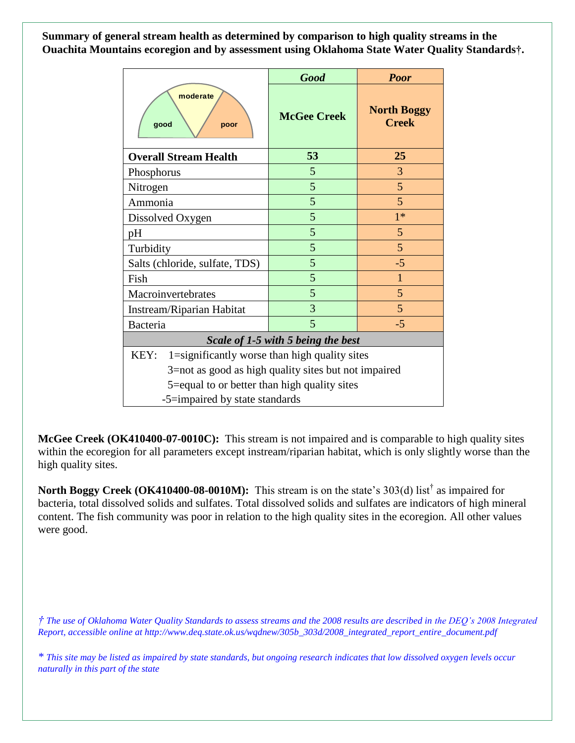**Summary of general stream health as determined by comparison to high quality streams in the Ouachita Mountains ecoregion and by assessment using Oklahoma State Water Quality Standards†.**

|                                                         | <b>Good</b>        | <b>Poor</b>                        |
|---------------------------------------------------------|--------------------|------------------------------------|
| moderate<br>good<br>poor                                | <b>McGee Creek</b> | <b>North Boggy</b><br><b>Creek</b> |
| <b>Overall Stream Health</b>                            | 53                 | 25                                 |
| Phosphorus                                              | 5                  | 3                                  |
| Nitrogen                                                | 5                  | 5                                  |
| Ammonia                                                 | 5                  | 5                                  |
| Dissolved Oxygen                                        | 5                  | $1*$                               |
| pH                                                      | 5                  | 5                                  |
| Turbidity                                               | 5                  | 5                                  |
| Salts (chloride, sulfate, TDS)                          | 5                  | $-5$                               |
| Fish                                                    | 5                  | $\mathbf{1}$                       |
| Macroinvertebrates                                      | 5                  | 5                                  |
| Instream/Riparian Habitat                               | 3                  | 5                                  |
| <b>Bacteria</b>                                         | 5                  | $-5$                               |
| Scale of 1-5 with 5 being the best                      |                    |                                    |
| 1=significantly worse than high quality sites<br>KEY:   |                    |                                    |
| $3$ =not as good as high quality sites but not impaired |                    |                                    |
| 5=equal to or better than high quality sites            |                    |                                    |
| -5=impaired by state standards                          |                    |                                    |

**McGee Creek (OK410400-07-0010C):** This stream is not impaired and is comparable to high quality sites within the ecoregion for all parameters except instream/riparian habitat, which is only slightly worse than the high quality sites.

North Boggy Creek (OK410400-08-0010M): This stream is on the state's 303(d) list<sup>†</sup> as impaired for bacteria, total dissolved solids and sulfates. Total dissolved solids and sulfates are indicators of high mineral content. The fish community was poor in relation to the high quality sites in the ecoregion. All other values were good.

*† The use of Oklahoma Water Quality Standards to assess streams and the 2008 results are described in the DEQ's 2008 Integrated Report, accessible online at http://www.deq.state.ok.us/wqdnew/305b\_303d/2008\_integrated\_report\_entire\_document.pdf*

*\* This site may be listed as impaired by state standards, but ongoing research indicates that low dissolved oxygen levels occur naturally in this part of the state*